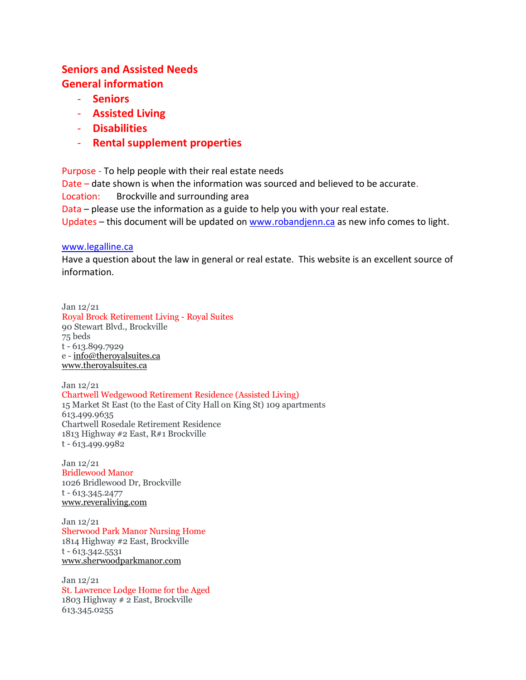### **Seniors and Assisted Needs General information**

- **Seniors**
- **Assisted Living**
- **Disabilities**
- **Rental supplement properties**

Purpose - To help people with their real estate needs Date – date shown is when the information was sourced and believed to be accurate. Location: Brockville and surrounding area Data – please use the information as a guide to help you with your real estate. Updates – this document will be updated on [www.robandjenn.ca](http://www.robandjenn.ca/) as new info comes to light.

#### [www.legalline.ca](http://www.legalline.ca/)

Have a question about the law in general or real estate. This website is an excellent source of information.

Jan 12/21 Royal Brock Retirement Living - Royal Suites 90 Stewart Blvd., Brockville 75 beds t - 613.899.7929 e - [info@theroyalsuites.ca](mailto:info@theroyalsuites.ca) [www.theroyalsuites.ca](http://www.theroyalsuites.ca/)

Jan 12/21 Chartwell Wedgewood Retirement Residence (Assisted Living) 15 Market St East (to the East of City Hall on King St) 109 apartments 613.499.9635 Chartwell Rosedale Retirement Residence 1813 Highway #2 East, R#1 Brockville t - 613.499.9982

Jan 12/21 Bridlewood Manor 1026 Bridlewood Dr, Brockville t - 613.345.2477 [www.reveraliving.com](http://www.reveraliving.com/)

Jan 12/21 Sherwood Park Manor Nursing Home 1814 Highway #2 East, Brockville t - 613.342.5531 [www.sherwoodparkmanor.com](http://www.sherwoodparkmanor.com/)

Jan 12/21 St. Lawrence Lodge Home for the Aged 1803 Highway # 2 East, Brockville 613.345.0255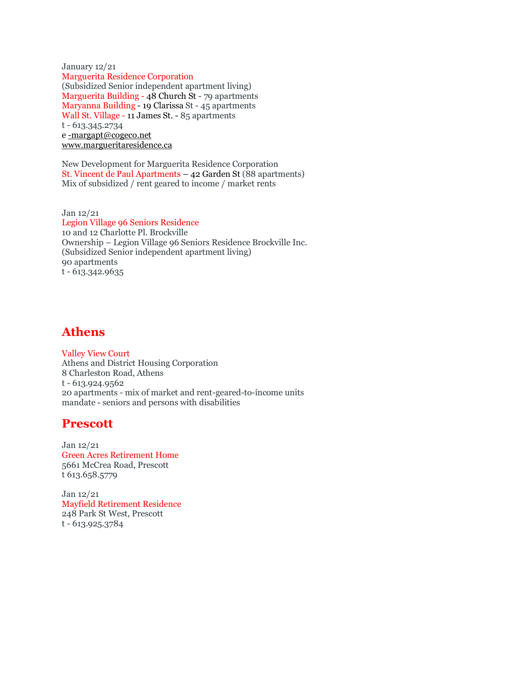January 12/21 Marguerita Residence Corporation (Subsidized Senior independent apartment living) Marguerita Building - 48 Church St - 79 apartments Maryanna Building - 19 Clarissa St - 45 apartments Wall St. Village - 11 James St. - 85 apartments t - 613.345.2734 e [-margapt@cogeco.net](mailto:-margapt@cogeco.net) [www.margueritaresidence.ca](http://www.margueritaresidence.ca/)

New Development for Marguerita Residence Corporation St. Vincent de Paul Apartments – 42 Garden St (88 apartments) Mix of subsidized / rent geared to income / market rents

Jan 12/21 Legion Village 96 Seniors Residence 10 and 12 Charlotte Pl. Brockville Ownership – Legion Village 96 Seniors Residence Brockville Inc. (Subsidized Senior independent apartment living) 90 apartments t - 613.342.9635

# **Athens**

Valley View Court Athens and District Housing Corporation 8 Charleston Road, Athens t - 613.924.9562 20 apartments - mix of market and rent-geared-to-income units mandate - seniors and persons with disabilities

# **Prescott**

Jan 12/21 Green Acres Retirement Home 5661 McCrea Road, Prescott t 613.658.5779

Jan 12/21 Mayfield Retirement Residence 248 Park St West, Prescott t - 613.925.3784